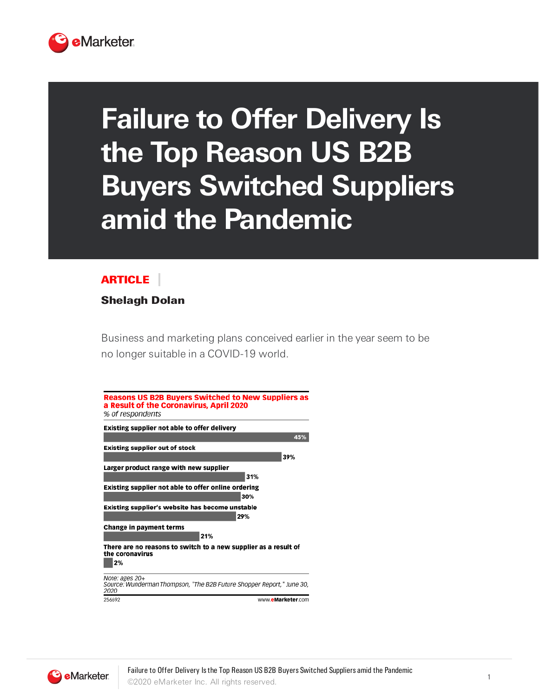

## **Failure to Offer Delivery Is the Top Reason US B2B Buyers Switched Suppliers amid the Pandemic**

## ARTICLE

## Shelagh Dolan

Business and marketing plans conceived earlier in the year seem to be no longer suitable in a COVID-19 world.